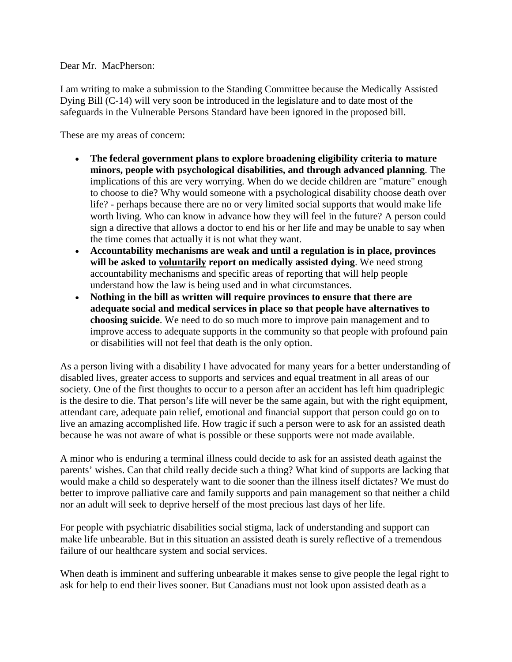Dear Mr. MacPherson:

I am writing to make a submission to the Standing Committee because the Medically Assisted Dying Bill (C-14) will very soon be introduced in the legislature and to date most of the safeguards in the Vulnerable Persons Standard have been ignored in the proposed bill.

These are my areas of concern:

- **The federal government plans to explore broadening eligibility criteria to mature minors, people with psychological disabilities, and through advanced planning**. The implications of this are very worrying. When do we decide children are "mature" enough to choose to die? Why would someone with a psychological disability choose death over life? - perhaps because there are no or very limited social supports that would make life worth living. Who can know in advance how they will feel in the future? A person could sign a directive that allows a doctor to end his or her life and may be unable to say when the time comes that actually it is not what they want.
- **Accountability mechanisms are weak and until a regulation is in place, provinces will be asked to voluntarily report on medically assisted dying**. We need strong accountability mechanisms and specific areas of reporting that will help people understand how the law is being used and in what circumstances.
- **Nothing in the bill as written will require provinces to ensure that there are adequate social and medical services in place so that people have alternatives to choosing suicide**. We need to do so much more to improve pain management and to improve access to adequate supports in the community so that people with profound pain or disabilities will not feel that death is the only option.

As a person living with a disability I have advocated for many years for a better understanding of disabled lives, greater access to supports and services and equal treatment in all areas of our society. One of the first thoughts to occur to a person after an accident has left him quadriplegic is the desire to die. That person's life will never be the same again, but with the right equipment, attendant care, adequate pain relief, emotional and financial support that person could go on to live an amazing accomplished life. How tragic if such a person were to ask for an assisted death because he was not aware of what is possible or these supports were not made available.

A minor who is enduring a terminal illness could decide to ask for an assisted death against the parents' wishes. Can that child really decide such a thing? What kind of supports are lacking that would make a child so desperately want to die sooner than the illness itself dictates? We must do better to improve palliative care and family supports and pain management so that neither a child nor an adult will seek to deprive herself of the most precious last days of her life.

For people with psychiatric disabilities social stigma, lack of understanding and support can make life unbearable. But in this situation an assisted death is surely reflective of a tremendous failure of our healthcare system and social services.

When death is imminent and suffering unbearable it makes sense to give people the legal right to ask for help to end their lives sooner. But Canadians must not look upon assisted death as a